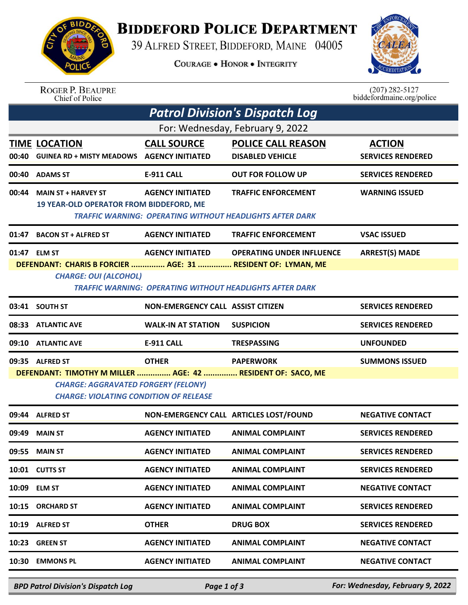

## **BIDDEFORD POLICE DEPARTMENT**

39 ALFRED STREET, BIDDEFORD, MAINE 04005

**COURAGE . HONOR . INTEGRITY** 



ROGER P. BEAUPRE<br>Chief of Police

 $(207)$  282-5127 biddefordmaine.org/police

| <b>Patrol Division's Dispatch Log</b> |                                                                                                                                                            |                                          |                                                                                               |                                           |  |  |  |  |
|---------------------------------------|------------------------------------------------------------------------------------------------------------------------------------------------------------|------------------------------------------|-----------------------------------------------------------------------------------------------|-------------------------------------------|--|--|--|--|
| For: Wednesday, February 9, 2022      |                                                                                                                                                            |                                          |                                                                                               |                                           |  |  |  |  |
| 00:40                                 | <b>TIME LOCATION</b><br><b>GUINEA RD + MISTY MEADOWS AGENCY INITIATED</b>                                                                                  | <b>CALL SOURCE</b>                       | <b>POLICE CALL REASON</b><br><b>DISABLED VEHICLE</b>                                          | <b>ACTION</b><br><b>SERVICES RENDERED</b> |  |  |  |  |
|                                       | 00:40 ADAMS ST                                                                                                                                             | <b>E-911 CALL</b>                        | <b>OUT FOR FOLLOW UP</b>                                                                      | <b>SERVICES RENDERED</b>                  |  |  |  |  |
| 00:44                                 | <b>MAIN ST + HARVEY ST</b><br>19 YEAR-OLD OPERATOR FROM BIDDEFORD, ME                                                                                      | <b>AGENCY INITIATED</b>                  | <b>TRAFFIC ENFORCEMENT</b><br><b>TRAFFIC WARNING: OPERATING WITHOUT HEADLIGHTS AFTER DARK</b> | <b>WARNING ISSUED</b>                     |  |  |  |  |
| 01:47                                 | <b>BACON ST + ALFRED ST</b>                                                                                                                                | <b>AGENCY INITIATED</b>                  | <b>TRAFFIC ENFORCEMENT</b>                                                                    | <b>VSAC ISSUED</b>                        |  |  |  |  |
|                                       | 01:47 ELM ST                                                                                                                                               | <b>AGENCY INITIATED</b>                  | <b>OPERATING UNDER INFLUENCE</b>                                                              | <b>ARREST(S) MADE</b>                     |  |  |  |  |
|                                       | DEFENDANT: CHARIS B FORCIER  AGE: 31  RESIDENT OF: LYMAN, ME                                                                                               |                                          |                                                                                               |                                           |  |  |  |  |
|                                       | <b>CHARGE: OUI (ALCOHOL)</b>                                                                                                                               |                                          | <b>TRAFFIC WARNING: OPERATING WITHOUT HEADLIGHTS AFTER DARK</b>                               |                                           |  |  |  |  |
|                                       | 03:41 SOUTH ST                                                                                                                                             | <b>NON-EMERGENCY CALL ASSIST CITIZEN</b> |                                                                                               | <b>SERVICES RENDERED</b>                  |  |  |  |  |
|                                       | 08:33 ATLANTIC AVE                                                                                                                                         | <b>WALK-IN AT STATION</b>                | <b>SUSPICION</b>                                                                              | <b>SERVICES RENDERED</b>                  |  |  |  |  |
| 09:10                                 | <b>ATLANTIC AVE</b>                                                                                                                                        | <b>E-911 CALL</b>                        | <b>TRESPASSING</b>                                                                            | <b>UNFOUNDED</b>                          |  |  |  |  |
|                                       | 09:35 ALFRED ST                                                                                                                                            | <b>OTHER</b>                             | <b>PAPERWORK</b>                                                                              | <b>SUMMONS ISSUED</b>                     |  |  |  |  |
|                                       | DEFENDANT: TIMOTHY M MILLER  AGE: 42  RESIDENT OF: SACO, ME<br><b>CHARGE: AGGRAVATED FORGERY (FELONY)</b><br><b>CHARGE: VIOLATING CONDITION OF RELEASE</b> |                                          |                                                                                               |                                           |  |  |  |  |
|                                       | 09:44 ALFRED ST                                                                                                                                            |                                          | NON-EMERGENCY CALL ARTICLES LOST/FOUND                                                        | <b>NEGATIVE CONTACT</b>                   |  |  |  |  |
| 09:49                                 | <b>MAIN ST</b>                                                                                                                                             | <b>AGENCY INITIATED</b>                  | <b>ANIMAL COMPLAINT</b>                                                                       | <b>SERVICES RENDERED</b>                  |  |  |  |  |
| 09:55                                 | <b>MAIN ST</b>                                                                                                                                             | <b>AGENCY INITIATED</b>                  | <b>ANIMAL COMPLAINT</b>                                                                       | <b>SERVICES RENDERED</b>                  |  |  |  |  |
|                                       | 10:01 CUTTS ST                                                                                                                                             | <b>AGENCY INITIATED</b>                  | <b>ANIMAL COMPLAINT</b>                                                                       | <b>SERVICES RENDERED</b>                  |  |  |  |  |
|                                       | 10:09 ELM ST                                                                                                                                               | <b>AGENCY INITIATED</b>                  | <b>ANIMAL COMPLAINT</b>                                                                       | <b>NEGATIVE CONTACT</b>                   |  |  |  |  |
| 10:15                                 | <b>ORCHARD ST</b>                                                                                                                                          | <b>AGENCY INITIATED</b>                  | <b>ANIMAL COMPLAINT</b>                                                                       | <b>SERVICES RENDERED</b>                  |  |  |  |  |
|                                       | 10:19 ALFRED ST                                                                                                                                            | <b>OTHER</b>                             | <b>DRUG BOX</b>                                                                               | <b>SERVICES RENDERED</b>                  |  |  |  |  |
| 10:23                                 | <b>GREEN ST</b>                                                                                                                                            | <b>AGENCY INITIATED</b>                  | <b>ANIMAL COMPLAINT</b>                                                                       | <b>NEGATIVE CONTACT</b>                   |  |  |  |  |
| 10:30                                 | <b>EMMONS PL</b>                                                                                                                                           | <b>AGENCY INITIATED</b>                  | <b>ANIMAL COMPLAINT</b>                                                                       | <b>NEGATIVE CONTACT</b>                   |  |  |  |  |
|                                       |                                                                                                                                                            |                                          |                                                                                               |                                           |  |  |  |  |

*BPD Patrol Division's Dispatch Log Page 1 of 3 For: Wednesday, February 9, 2022*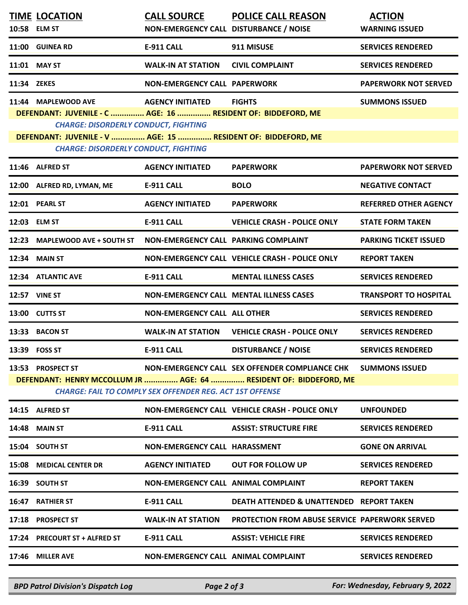|                                                                                                                                                                                                                                                                                                                        | <b>TIME LOCATION</b><br>10:58 ELM ST                                                 | <b>CALL SOURCE</b><br>NON-EMERGENCY CALL DISTURBANCE / NOISE | <b>POLICE CALL REASON</b>                                                                                           | <b>ACTION</b><br><b>WARNING ISSUED</b> |  |  |  |
|------------------------------------------------------------------------------------------------------------------------------------------------------------------------------------------------------------------------------------------------------------------------------------------------------------------------|--------------------------------------------------------------------------------------|--------------------------------------------------------------|---------------------------------------------------------------------------------------------------------------------|----------------------------------------|--|--|--|
|                                                                                                                                                                                                                                                                                                                        | 11:00 GUINEA RD                                                                      | <b>E-911 CALL</b>                                            | 911 MISUSE                                                                                                          | <b>SERVICES RENDERED</b>               |  |  |  |
|                                                                                                                                                                                                                                                                                                                        | 11:01 MAY ST                                                                         | <b>WALK-IN AT STATION</b>                                    | <b>CIVIL COMPLAINT</b>                                                                                              | <b>SERVICES RENDERED</b>               |  |  |  |
| 11:34 ZEKES                                                                                                                                                                                                                                                                                                            |                                                                                      | <b>NON-EMERGENCY CALL PAPERWORK</b>                          |                                                                                                                     | <b>PAPERWORK NOT SERVED</b>            |  |  |  |
| 11:44 MAPLEWOOD AVE<br><b>FIGHTS</b><br><b>SUMMONS ISSUED</b><br><b>AGENCY INITIATED</b><br>DEFENDANT: JUVENILE - C  AGE: 16  RESIDENT OF: BIDDEFORD, ME<br><b>CHARGE: DISORDERLY CONDUCT, FIGHTING</b><br>DEFENDANT: JUVENILE - V  AGE: 15  RESIDENT OF: BIDDEFORD, ME<br><b>CHARGE: DISORDERLY CONDUCT, FIGHTING</b> |                                                                                      |                                                              |                                                                                                                     |                                        |  |  |  |
|                                                                                                                                                                                                                                                                                                                        | 11:46 ALFRED ST                                                                      | <b>AGENCY INITIATED</b>                                      | <b>PAPERWORK</b>                                                                                                    | <b>PAPERWORK NOT SERVED</b>            |  |  |  |
|                                                                                                                                                                                                                                                                                                                        | 12:00 ALFRED RD, LYMAN, ME                                                           | <b>E-911 CALL</b>                                            | <b>BOLO</b>                                                                                                         | <b>NEGATIVE CONTACT</b>                |  |  |  |
|                                                                                                                                                                                                                                                                                                                        | 12:01 PEARL ST                                                                       | <b>AGENCY INITIATED</b>                                      | <b>PAPERWORK</b>                                                                                                    | <b>REFERRED OTHER AGENCY</b>           |  |  |  |
|                                                                                                                                                                                                                                                                                                                        | 12:03 ELM ST                                                                         | <b>E-911 CALL</b>                                            | <b>VEHICLE CRASH - POLICE ONLY</b>                                                                                  | <b>STATE FORM TAKEN</b>                |  |  |  |
|                                                                                                                                                                                                                                                                                                                        | 12:23 MAPLEWOOD AVE + SOUTH ST                                                       | NON-EMERGENCY CALL PARKING COMPLAINT                         |                                                                                                                     | <b>PARKING TICKET ISSUED</b>           |  |  |  |
|                                                                                                                                                                                                                                                                                                                        | <b>12:34 MAIN ST</b>                                                                 |                                                              | NON-EMERGENCY CALL VEHICLE CRASH - POLICE ONLY                                                                      | <b>REPORT TAKEN</b>                    |  |  |  |
|                                                                                                                                                                                                                                                                                                                        | 12:34 ATLANTIC AVE                                                                   | <b>E-911 CALL</b>                                            | <b>MENTAL ILLNESS CASES</b>                                                                                         | <b>SERVICES RENDERED</b>               |  |  |  |
|                                                                                                                                                                                                                                                                                                                        | <b>12:57 VINE ST</b>                                                                 |                                                              | <b>NON-EMERGENCY CALL MENTAL ILLNESS CASES</b>                                                                      | <b>TRANSPORT TO HOSPITAL</b>           |  |  |  |
|                                                                                                                                                                                                                                                                                                                        | 13:00 CUTTS ST                                                                       | <b>NON-EMERGENCY CALL ALL OTHER</b>                          |                                                                                                                     | <b>SERVICES RENDERED</b>               |  |  |  |
|                                                                                                                                                                                                                                                                                                                        | 13:33 BACON ST                                                                       | <b>WALK-IN AT STATION</b>                                    | <b>VEHICLE CRASH - POLICE ONLY</b>                                                                                  | <b>SERVICES RENDERED</b>               |  |  |  |
|                                                                                                                                                                                                                                                                                                                        | 13:39 FOSS ST                                                                        | <b>E-911 CALL</b>                                            | <b>DISTURBANCE / NOISE</b>                                                                                          | <b>SERVICES RENDERED</b>               |  |  |  |
|                                                                                                                                                                                                                                                                                                                        | 13:53 PROSPECT ST<br><b>CHARGE: FAIL TO COMPLY SEX OFFENDER REG. ACT 1ST OFFENSE</b> |                                                              | NON-EMERGENCY CALL SEX OFFENDER COMPLIANCE CHK<br>DEFENDANT: HENRY MCCOLLUM JR  AGE: 64  RESIDENT OF: BIDDEFORD, ME | <b>SUMMONS ISSUED</b>                  |  |  |  |
|                                                                                                                                                                                                                                                                                                                        | 14:15 ALFRED ST                                                                      |                                                              | NON-EMERGENCY CALL VEHICLE CRASH - POLICE ONLY                                                                      | <b>UNFOUNDED</b>                       |  |  |  |
|                                                                                                                                                                                                                                                                                                                        | <b>14:48 MAIN ST</b>                                                                 | <b>E-911 CALL</b>                                            | <b>ASSIST: STRUCTURE FIRE</b>                                                                                       | <b>SERVICES RENDERED</b>               |  |  |  |
|                                                                                                                                                                                                                                                                                                                        | 15:04 SOUTH ST                                                                       | NON-EMERGENCY CALL HARASSMENT                                |                                                                                                                     | <b>GONE ON ARRIVAL</b>                 |  |  |  |
|                                                                                                                                                                                                                                                                                                                        | 15:08 MEDICAL CENTER DR                                                              | <b>AGENCY INITIATED</b>                                      | <b>OUT FOR FOLLOW UP</b>                                                                                            | <b>SERVICES RENDERED</b>               |  |  |  |
|                                                                                                                                                                                                                                                                                                                        | 16:39 SOUTH ST                                                                       | NON-EMERGENCY CALL ANIMAL COMPLAINT                          |                                                                                                                     | <b>REPORT TAKEN</b>                    |  |  |  |
|                                                                                                                                                                                                                                                                                                                        | <b>16:47 RATHIER ST</b>                                                              | <b>E-911 CALL</b>                                            | <b>DEATH ATTENDED &amp; UNATTENDED REPORT TAKEN</b>                                                                 |                                        |  |  |  |
|                                                                                                                                                                                                                                                                                                                        | 17:18 PROSPECT ST                                                                    | <b>WALK-IN AT STATION</b>                                    | <b>PROTECTION FROM ABUSE SERVICE PAPERWORK SERVED</b>                                                               |                                        |  |  |  |
|                                                                                                                                                                                                                                                                                                                        | 17:24 PRECOURT ST + ALFRED ST                                                        | <b>E-911 CALL</b>                                            | <b>ASSIST: VEHICLE FIRE</b>                                                                                         | <b>SERVICES RENDERED</b>               |  |  |  |
|                                                                                                                                                                                                                                                                                                                        | 17:46 MILLER AVE                                                                     | NON-EMERGENCY CALL ANIMAL COMPLAINT                          |                                                                                                                     | <b>SERVICES RENDERED</b>               |  |  |  |

*BPD Patrol Division's Dispatch Log Page 2 of 3 For: Wednesday, February 9, 2022*